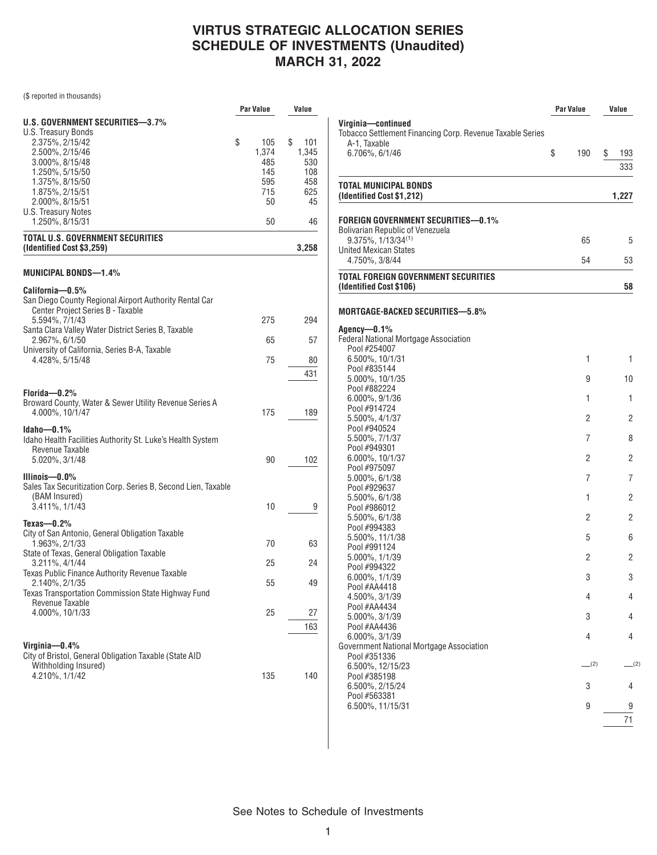(\$ reported in thousands)

|                                                                  | Par Value | Value     |
|------------------------------------------------------------------|-----------|-----------|
| U.S. GOVERNMENT SECURITIES—3.7%                                  |           |           |
| U.S. Treasury Bonds                                              |           |           |
| 2.375%, 2/15/42                                                  | \$<br>105 | \$<br>101 |
| 2.500%, 2/15/46                                                  | 1,374     | 1,345     |
| 3.000%, 8/15/48                                                  | 485       | 530       |
| 1.250%, 5/15/50                                                  | 145       | 108       |
|                                                                  |           | 458       |
| 1.375%, 8/15/50                                                  | 595       |           |
| 1.875%, 2/15/51                                                  | 715       | 625       |
| 2.000%, 8/15/51                                                  | 50        | 45        |
| U.S. Treasury Notes                                              |           |           |
| 1.250%, 8/15/31                                                  | 50        | 46        |
| <b>TOTAL U.S. GOVERNMENT SECURITIES</b>                          |           |           |
| (Identified Cost \$3,259)                                        |           | 3,258     |
| MUNICIPAL BONDS—1.4%                                             |           |           |
| California-0.5%                                                  |           |           |
| San Diego County Regional Airport Authority Rental Car           |           |           |
|                                                                  |           |           |
| Center Project Series B - Taxable                                | 275       |           |
| 5.594%, 7/1/43                                                   |           | 294       |
| Santa Clara Valley Water District Series B, Taxable              | 65        | 57        |
| 2.967%, 6/1/50                                                   |           |           |
| University of California, Series B-A, Taxable<br>4.428%, 5/15/48 | 75        | 80        |
|                                                                  |           |           |
|                                                                  |           | 431       |
|                                                                  |           |           |
| Florida-0.2%                                                     |           |           |
| Broward County, Water & Sewer Utility Revenue Series A           |           |           |
| 4.000%, 10/1/47                                                  | 175       | 189       |
| $Idaho - 0.1%$                                                   |           |           |
| Idaho Health Facilities Authority St. Luke's Health System       |           |           |
| Revenue Taxable                                                  |           |           |
| 5.020%, 3/1/48                                                   | 90        | 102       |
|                                                                  |           |           |
| Illinois— $0.0\%$                                                |           |           |
| Sales Tax Securitization Corp. Series B, Second Lien, Taxable    |           |           |
| (BAM Insured)                                                    |           |           |
| 3.411%, 1/1/43                                                   | 10        | 9         |
|                                                                  |           |           |
| Texas- $-0.2%$                                                   |           |           |
| City of San Antonio, General Obligation Taxable                  |           |           |
| 1.963%, 2/1/33                                                   | 70        | 63        |
| State of Texas, General Obligation Taxable                       |           |           |
| 3.211%, 4/1/44                                                   | 25        | 24        |
| Texas Public Finance Authority Revenue Taxable                   |           |           |
| 2.140%, 2/1/35                                                   | 55        | 49        |
| Texas Transportation Commission State Highway Fund               |           |           |
| Revenue Taxable                                                  |           |           |
| 4.000%, 10/1/33                                                  | 25        | 27        |
|                                                                  |           | 163       |
|                                                                  |           |           |
| Virginia-0.4%                                                    |           |           |
| City of Bristol, General Obligation Taxable (State AID           |           |           |
| Withholding Insured)                                             |           |           |
| 4.210%, 1/1/42                                                   | 135       | 140       |
|                                                                  |           |           |
|                                                                  |           |           |

|                                                                           | <b>Par Value</b> |           | Value |       |
|---------------------------------------------------------------------------|------------------|-----------|-------|-------|
| Virginia—continued                                                        |                  |           |       |       |
| Tobacco Settlement Financing Corp. Revenue Taxable Series<br>A-1, Taxable |                  |           |       |       |
| 6.706%, 6/1/46                                                            | \$               | 190       | \$    | 193   |
|                                                                           |                  |           |       | 333   |
| TOTAL MUNICIPAL BONDS<br>(Identified Cost \$1,212)                        |                  |           |       | 1,227 |
| Foreign Government Securities—0.1%                                        |                  |           |       |       |
| <b>Bolivarian Republic of Venezuela</b>                                   |                  |           |       |       |
| $9.375\%$ . $1/13/34^{(1)}$                                               |                  | 65        |       | 5     |
| United Mexican States<br>4.750%, 3/8/44                                   |                  | 54        |       | 53    |
| TOTAL FOREIGN GOVERNMENT SECURITIES<br>(Identified Cost \$106)            |                  |           |       | 58    |
|                                                                           |                  |           |       |       |
| MORTGAGE-BACKED SECURITIES—5.8%                                           |                  |           |       |       |
| Agency—0.1%                                                               |                  |           |       |       |
| Federal National Mortgage Association<br>Pool #254007                     |                  |           |       |       |
| 6.500%, 10/1/31                                                           |                  | 1         |       | 1     |
| Pool #835144                                                              |                  |           |       |       |
| 5.000%, 10/1/35                                                           |                  | 9         |       | 10    |
| Pool #882224                                                              |                  | 1         |       | 1     |
| 6.000%, 9/1/36<br>Pool #914724                                            |                  |           |       |       |
| 5.500%, 4/1/37                                                            |                  | 2         |       | 2     |
| Pool #940524                                                              |                  |           |       |       |
| 5.500%, 7/1/37                                                            |                  | 7         |       | 8     |
| Pool #949301                                                              |                  |           |       |       |
| 6.000%, 10/1/37<br>Pool #975097                                           |                  | 2         |       | 2     |
| 5.000%, 6/1/38                                                            |                  | 7         |       | 7     |
| Pool #929637                                                              |                  |           |       |       |
| 5.500%, 6/1/38                                                            |                  | 1         |       | 2     |
| Pool #986012                                                              |                  |           |       |       |
| 5.500%, 6/1/38<br>Pool #994383                                            |                  | 2         |       | 2     |
| 5.500%, 11/1/38                                                           |                  | 5         |       | 6     |
| Pool #991124                                                              |                  |           |       |       |
| 5.000%, 1/1/39                                                            |                  | 2         |       | 2     |
| Pool #994322                                                              |                  |           |       |       |
| 6.000%, 1/1/39<br>Pool #AA4418                                            |                  | 3         |       | 3     |
| 4.500%, 3/1/39                                                            |                  | 4         |       | 4     |
| Pool #AA4434                                                              |                  |           |       |       |
| 5.000%, 3/1/39                                                            |                  | 3         |       | 4     |
| Pool #AA4436                                                              |                  |           |       |       |
| 6.000%, 3/1/39                                                            |                  | 4         |       | 4     |
| Government National Mortgage Association<br>Pool #351336                  |                  |           |       |       |
| 6.500%, 12/15/23                                                          |                  | $-^{(2)}$ |       | (2)   |
| Pool #385198                                                              |                  |           |       |       |
| 6.500%, 2/15/24                                                           |                  | 3         |       | 4     |
| Pool #563381<br>6.500%, 11/15/31                                          |                  | 9         |       | 9     |
|                                                                           |                  |           |       |       |

71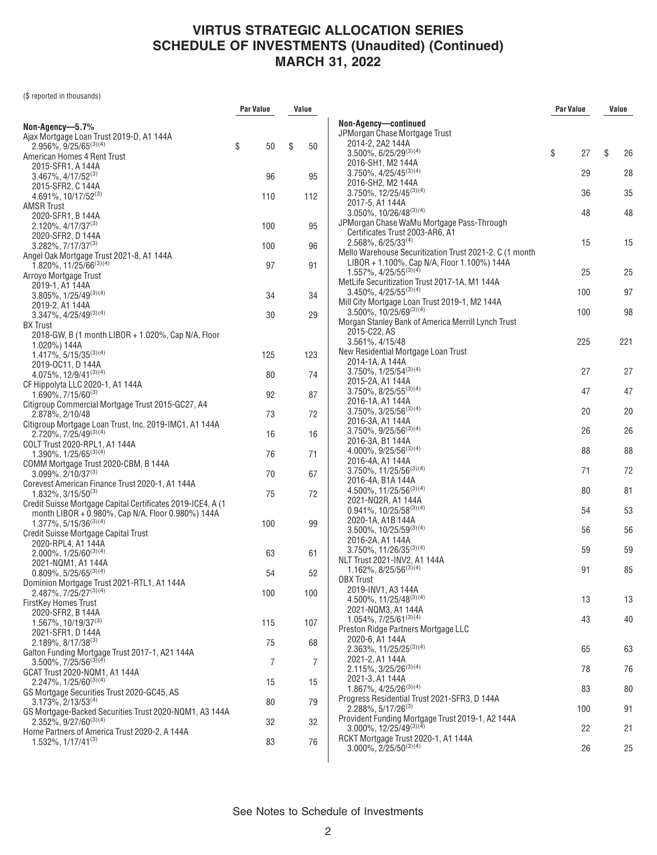(\$ reported in thousands)

|                                                                                              | Par Value | Value    |                                                                         | Par Value | Value    |
|----------------------------------------------------------------------------------------------|-----------|----------|-------------------------------------------------------------------------|-----------|----------|
| Non-Agency-5.7%                                                                              |           |          | Non-Agency-continued                                                    |           |          |
| Ajax Mortgage Loan Trust 2019-D, A1 144A                                                     |           |          | JPMorgan Chase Mortgage Trust                                           |           |          |
| $2.956\%$ , 9/25/65 <sup>(3)(4)</sup>                                                        | \$<br>50  | \$<br>50 | 2014-2, 2A2 144A                                                        |           |          |
| American Homes 4 Rent Trust                                                                  |           |          | $3.500\%$ , 6/25/29 <sup>(3)(4)</sup>                                   | \$<br>27  | \$<br>26 |
| 2015-SFR1, A 144A                                                                            |           |          | 2016-SH1, M2 144A                                                       |           |          |
| $3.467\%$ , $4/17/52^{(3)}$                                                                  | 96        | 95       | $3.750\%$ , $4/25/45^{(3)(4)}$                                          | 29        | 28       |
| 2015-SFR2, C 144A                                                                            |           |          | 2016-SH2, M2 144A                                                       |           |          |
| $4.691\%$ , 10/17/52 <sup>(3)</sup>                                                          | 110       | 112      | $3.750\%$ , $12/25/45^{(3)(4)}$                                         | 36        | 35       |
| <b>AMSR Trust</b>                                                                            |           |          | 2017-5, A1 144A<br>$3.050\%$ , 10/26/48 <sup>(3)(4)</sup>               | 48        | 48       |
| 2020-SFR1, B 144A                                                                            |           |          | JPMorgan Chase WaMu Mortgage Pass-Through                               |           |          |
| $2.120\%$ , $4/17/37^{(3)}$                                                                  | 100       | 95       | Certificates Trust 2003-AR6, A1                                         |           |          |
| 2020-SFR2, D 144A<br>$3.282\%$ , $7/17/37^{(3)}$                                             | 100       | 96       | $2.568\%$ , 6/25/33 <sup>(4)</sup>                                      | 15        | 15       |
| Angel Oak Mortgage Trust 2021-8, A1 144A                                                     |           |          | Mello Warehouse Securitization Trust 2021-2, C (1 month                 |           |          |
| $1.820\%$ , 11/25/66 <sup>(3)(4)</sup>                                                       | 97        | 91       | LIBOR + 1.100%, Cap N/A, Floor 1.100%) 144A                             |           |          |
| Arroyo Mortgage Trust                                                                        |           |          | $1.557\%$ , 4/25/55 <sup>(3)(4)</sup>                                   | 25        | 25       |
| 2019-1, A1 144A                                                                              |           |          | MetLife Securitization Trust 2017-1A, M1 144A                           |           |          |
| $3.805\%, 1/25/49^{(3)(4)}$                                                                  | 34        | 34       | $3.450\%$ , $4/25/55^{(3)(4)}$                                          | 100       | 97       |
| 2019-2, A1 144A                                                                              |           |          | Mill City Mortgage Loan Trust 2019-1, M2 144A<br>3.500%, 10/25/69(3)(4) |           |          |
| $3.347\%, 4/25/49^{(3)(4)}$                                                                  | 30        | 29       | Morgan Stanley Bank of America Merrill Lynch Trust                      | 100       | 98       |
| <b>BX</b> Trust                                                                              |           |          | 2015-C22, AS                                                            |           |          |
| 2018-GW, B (1 month LIBOR + 1.020%, Cap N/A, Floor                                           |           |          | 3.561%, 4/15/48                                                         | 225       | 221      |
| 1.020%) 144A<br>$1.417\%, 5/15/35^{(3)(4)}$                                                  | 125       | 123      | New Residential Mortgage Loan Trust                                     |           |          |
| 2019-0C11, D 144A                                                                            |           |          | 2014-1A, A 144A                                                         |           |          |
| 4.075%, 12/9/41(3)(4)                                                                        | 80        | 74       | $3.750\%$ , $1/25/54^{(3)(4)}$                                          | 27        | 27       |
| CF Hippolyta LLC 2020-1, A1 144A                                                             |           |          | 2015-2A, A1 144A                                                        |           |          |
| $1.690\%$ , 7/15/60 <sup>(3)</sup>                                                           | 92        | 87       | $3.750\%$ , $8/25/55^{(3)(4)}$                                          | 47        | 47       |
| Citigroup Commercial Mortgage Trust 2015-GC27, A4                                            |           |          | 2016-1A, A1 144A                                                        |           |          |
| 2.878%, 2/10/48                                                                              | 73        | 72       | $3.750\%$ , $3/25/56^{(3)(4)}$                                          | 20        | 20       |
| Citigroup Mortgage Loan Trust, Inc. 2019-IMC1, A1 144A                                       |           |          | 2016-3A, A1 144A<br>$3.750\%, 9/25/56^{(3)(4)}$                         | 26        | 26       |
| 2.720%, 7/25/49(3)(4)                                                                        | 16        | 16       | 2016-3A, B1 144A                                                        |           |          |
| COLT Trust 2020-RPL1, A1 144A<br>$1.390\%$ , $1/25/65^{(3)(4)}$                              | 76        | 71       | $4.000\%$ , 9/25/56 <sup>(3)(4)</sup>                                   | 88        | 88       |
| COMM Mortgage Trust 2020-CBM, B 144A                                                         |           |          | 2016-4A, A1 144A                                                        |           |          |
| $3.099\%$ , 2/10/37 <sup>(3)</sup>                                                           | 70        | 67       | $3.750\%$ , 11/25/56 <sup>(3)(4)</sup>                                  | 71        | 72       |
| Corevest American Finance Trust 2020-1, A1 144A                                              |           |          | 2016-4A, B1A 144A                                                       |           |          |
| $1.832\%$ , 3/15/50 <sup>(3)</sup>                                                           | 75        | 72       | 4.500%, 11/25/56(3)(4)                                                  | 80        | 81       |
| Credit Suisse Mortgage Capital Certificates 2019-ICE4, A (1)                                 |           |          | 2021-NQ2R, A1 144A<br>$0.941\%, 10/25/58^{(3)(4)}$                      | 54        |          |
| month LIBOR + 0.980%, Cap N/A, Floor 0.980%) 144A                                            |           |          | 2020-1A, A1B 144A                                                       |           | 53       |
| $1.377\%$ , 5/15/36 <sup>(3)(4)</sup>                                                        | 100       | 99       | $3.500\%$ , $10/25/59^{(3)(4)}$                                         | 56        | 56       |
| Credit Suisse Mortgage Capital Trust<br>2020-RPL4, A1 144A                                   |           |          | 2016-2A, A1 144A                                                        |           |          |
| $2.000\%$ , $1/25/60^{(3)(4)}$                                                               | 63        | 61       | $3.750\%$ , 11/26/35 <sup>(3)(4)</sup>                                  | 59        | 59       |
| 2021-NQM1, A1 144A                                                                           |           |          | NLT Trust 2021-INV2, A1 144A                                            |           |          |
| $0.809\%, 5/25/65^{(3)(4)}$                                                                  | 54        | 52       | 1.162%, $8/25/56^{(3)(4)}$                                              | 91        | 85       |
| Dominion Mortgage Trust 2021-RTL1, A1 144A                                                   |           |          | <b>OBX Trust</b><br>2019-INV1, A3 144A                                  |           |          |
| 2.487%, 7/25/27(3)(4)                                                                        | 100       | 100      | 4.500%, 11/25/48(3)(4)                                                  | 13        | 13       |
| FirstKey Homes Trust                                                                         |           |          | 2021-NQM3, A1 144A                                                      |           |          |
| 2020-SFR2, B 144A<br>$1.567\%$ , 10/19/37 <sup>(3)</sup>                                     | 115       | 107      | $1.054\%$ , $7/25/61^{(3)(4)}$                                          | 43        | 40       |
| 2021-SFR1, D 144A                                                                            |           |          | Preston Ridge Partners Mortgage LLC                                     |           |          |
| $2.189\%, 8/17/38^{(3)}$                                                                     | 75        | 68       | 2020-6, A1 144A                                                         |           |          |
| Galton Funding Mortgage Trust 2017-1, A21 144A                                               |           |          | 2.363%, 11/25/25(3)(4)                                                  | 65        | 63       |
| $3.500\%$ , $7/25/56^{(3)(4)}$                                                               | 7         | 7        | 2021-2, A1 144A                                                         |           |          |
| GCAT Trust 2020-NQM1, A1 144A                                                                |           |          | $2.115\%, 3/25/26^{(3)(4)}$                                             | 78        | 76       |
| 2.247%, 1/25/60(3)(4)                                                                        | 15        | 15       | 2021-3, A1 144A<br>$1.867\%, 4/25/26^{(3)(4)}$                          | 83        | 80       |
| GS Mortgage Securities Trust 2020-GC45, AS                                                   |           |          | Progress Residential Trust 2021-SFR3, D 144A                            |           |          |
| $3.173\%$ , 2/13/53 <sup>(4)</sup><br>GS Mortgage-Backed Securities Trust 2020-NQM1, A3 144A | 80        | 79       | $2.288\%, 5/17/26^{(3)}$                                                | 100       | 91       |
| $2.352\%$ , 9/27/60 <sup>(3)(4)</sup>                                                        | 32        | 32       | Provident Funding Mortgage Trust 2019-1, A2 144A                        |           |          |
| Home Partners of America Trust 2020-2, A 144A                                                |           |          | $3.000\%$ , $12/25/49^{(3)(4)}$                                         | 22        | 21       |
| 1.532%, 1/17/41(3)                                                                           | 83        | 76       | RCKT Mortgage Trust 2020-1, A1 144A                                     |           |          |
|                                                                                              |           |          | $3.000\%$ , 2/25/50 <sup>(3)(4)</sup>                                   | 26        | 25       |
|                                                                                              |           |          |                                                                         |           |          |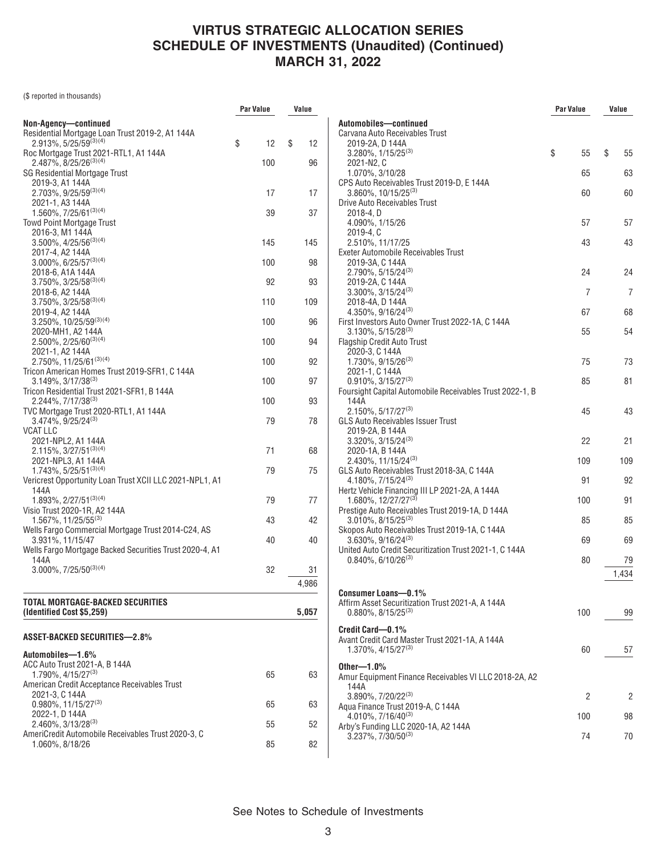(\$ reported in thousands)

| Non-Agency-continued<br>Residential Mortgage Loan Trust 2019-2, A1 144A<br>2.913%, 5/25/59(3)(4)<br>\$<br>12<br>\$<br>12<br>Roc Mortgage Trust 2021-RTL1, A1 144A<br>2.487%, 8/25/26 <sup>(3)(4)</sup><br>100<br>96<br><b>SG Residential Mortgage Trust</b><br>2019-3, A1 144A<br>2.703%, 9/25/59(3)(4)<br>17<br>17<br>2021-1, A3 144A<br>$1.560\%, 7/25/61^{(3)(4)}$<br>39<br>37<br>Towd Point Mortgage Trust<br>2016-3, M1 144A<br>$3.500\%$ , $4/25/56^{(3)(4)}$<br>145<br>145<br>2017-4, A2 144A<br>$3.000\%$ , 6/25/57 <sup>(3)(4)</sup><br>100<br>98<br>2018-6, A1A 144A<br>$3.750\%$ , $3/25/58^{(3)(4)}$<br>92<br>93<br>2018-6, A2 144A<br>$3.750\%$ , $3/25/58^{(3)(4)}$<br>110<br>109<br>2019-4, A2 144A<br>$3.250\%$ , 10/25/59 <sup>(3)(4)</sup><br>100<br>96<br>2020-MH1, A2 144A<br>$2.500\%$ , 2/25/60 <sup>(3)(4)</sup><br>100<br>94<br>2021-1, A2 144A<br>2.750%, 11/25/61(3)(4)<br>100<br>92<br>Tricon American Homes Trust 2019-SFR1, C 144A<br>3.149%, 3/17/38(3)<br>100<br>97<br>Tricon Residential Trust 2021-SFR1, B 144A<br>2.244%, 7/17/38(3)<br>100<br>93<br>TVC Mortgage Trust 2020-RTL1, A1 144A<br>$3.474\%, 9/25/24^{(3)}$<br>79<br>78<br><b>VCAT LLC</b><br>2021-NPL2, A1 144A<br>$2.115\%$ , 3/27/51 <sup>(3)(4)</sup><br>71<br>68<br>2021-NPL3, A1 144A<br>$1.743\%$ , 5/25/51(3)(4)<br>79<br>75<br>Vericrest Opportunity Loan Trust XCII LLC 2021-NPL1, A1<br>144A<br>$1.893\%, 2/27/51^{(3)(4)}$<br>79<br>77<br>Visio Trust 2020-1R, A2 144A<br>1.567%, 11/25/55(3)<br>43<br>42<br>Wells Fargo Commercial Mortgage Trust 2014-C24, AS<br>3.931%, 11/15/47<br>40<br>40<br>Wells Fargo Mortgage Backed Securities Trust 2020-4, A1<br>144A<br>$3.000\%, 7/25/50^{(3)(4)}$<br>32<br>31<br>4,986<br>TOTAL MORTGAGE-BACKED SECURITIES<br>(Identified Cost \$5,259)<br>5,057<br>ASSET-BACKED SECURITIES—2.8%<br>Automobiles—1.6%<br>ACC Auto Trust 2021-A, B 144A<br>$1.790\%$ , $4/15/27^{(3)}$<br>65<br>63<br>American Credit Acceptance Receivables Trust<br>2021-3, C 144A<br>$0.980\%$ , 11/15/27 <sup>(3)</sup><br>65<br>63<br>2022-1, D 144A<br>$2.460\%$ , 3/13/28 <sup>(3)</sup><br>55<br>52<br>AmeriCredit Automobile Receivables Trust 2020-3, C |                 | Par Value | Value |  |
|------------------------------------------------------------------------------------------------------------------------------------------------------------------------------------------------------------------------------------------------------------------------------------------------------------------------------------------------------------------------------------------------------------------------------------------------------------------------------------------------------------------------------------------------------------------------------------------------------------------------------------------------------------------------------------------------------------------------------------------------------------------------------------------------------------------------------------------------------------------------------------------------------------------------------------------------------------------------------------------------------------------------------------------------------------------------------------------------------------------------------------------------------------------------------------------------------------------------------------------------------------------------------------------------------------------------------------------------------------------------------------------------------------------------------------------------------------------------------------------------------------------------------------------------------------------------------------------------------------------------------------------------------------------------------------------------------------------------------------------------------------------------------------------------------------------------------------------------------------------------------------------------------------------------------------------------------------------------------------------------------------------------------------------------------------------------------------------------------------------------------------------------------------------------------------------|-----------------|-----------|-------|--|
|                                                                                                                                                                                                                                                                                                                                                                                                                                                                                                                                                                                                                                                                                                                                                                                                                                                                                                                                                                                                                                                                                                                                                                                                                                                                                                                                                                                                                                                                                                                                                                                                                                                                                                                                                                                                                                                                                                                                                                                                                                                                                                                                                                                          |                 |           |       |  |
|                                                                                                                                                                                                                                                                                                                                                                                                                                                                                                                                                                                                                                                                                                                                                                                                                                                                                                                                                                                                                                                                                                                                                                                                                                                                                                                                                                                                                                                                                                                                                                                                                                                                                                                                                                                                                                                                                                                                                                                                                                                                                                                                                                                          |                 |           |       |  |
|                                                                                                                                                                                                                                                                                                                                                                                                                                                                                                                                                                                                                                                                                                                                                                                                                                                                                                                                                                                                                                                                                                                                                                                                                                                                                                                                                                                                                                                                                                                                                                                                                                                                                                                                                                                                                                                                                                                                                                                                                                                                                                                                                                                          |                 |           |       |  |
|                                                                                                                                                                                                                                                                                                                                                                                                                                                                                                                                                                                                                                                                                                                                                                                                                                                                                                                                                                                                                                                                                                                                                                                                                                                                                                                                                                                                                                                                                                                                                                                                                                                                                                                                                                                                                                                                                                                                                                                                                                                                                                                                                                                          |                 |           |       |  |
|                                                                                                                                                                                                                                                                                                                                                                                                                                                                                                                                                                                                                                                                                                                                                                                                                                                                                                                                                                                                                                                                                                                                                                                                                                                                                                                                                                                                                                                                                                                                                                                                                                                                                                                                                                                                                                                                                                                                                                                                                                                                                                                                                                                          |                 |           |       |  |
|                                                                                                                                                                                                                                                                                                                                                                                                                                                                                                                                                                                                                                                                                                                                                                                                                                                                                                                                                                                                                                                                                                                                                                                                                                                                                                                                                                                                                                                                                                                                                                                                                                                                                                                                                                                                                                                                                                                                                                                                                                                                                                                                                                                          |                 |           |       |  |
|                                                                                                                                                                                                                                                                                                                                                                                                                                                                                                                                                                                                                                                                                                                                                                                                                                                                                                                                                                                                                                                                                                                                                                                                                                                                                                                                                                                                                                                                                                                                                                                                                                                                                                                                                                                                                                                                                                                                                                                                                                                                                                                                                                                          |                 |           |       |  |
|                                                                                                                                                                                                                                                                                                                                                                                                                                                                                                                                                                                                                                                                                                                                                                                                                                                                                                                                                                                                                                                                                                                                                                                                                                                                                                                                                                                                                                                                                                                                                                                                                                                                                                                                                                                                                                                                                                                                                                                                                                                                                                                                                                                          |                 |           |       |  |
|                                                                                                                                                                                                                                                                                                                                                                                                                                                                                                                                                                                                                                                                                                                                                                                                                                                                                                                                                                                                                                                                                                                                                                                                                                                                                                                                                                                                                                                                                                                                                                                                                                                                                                                                                                                                                                                                                                                                                                                                                                                                                                                                                                                          |                 |           |       |  |
|                                                                                                                                                                                                                                                                                                                                                                                                                                                                                                                                                                                                                                                                                                                                                                                                                                                                                                                                                                                                                                                                                                                                                                                                                                                                                                                                                                                                                                                                                                                                                                                                                                                                                                                                                                                                                                                                                                                                                                                                                                                                                                                                                                                          |                 |           |       |  |
|                                                                                                                                                                                                                                                                                                                                                                                                                                                                                                                                                                                                                                                                                                                                                                                                                                                                                                                                                                                                                                                                                                                                                                                                                                                                                                                                                                                                                                                                                                                                                                                                                                                                                                                                                                                                                                                                                                                                                                                                                                                                                                                                                                                          |                 |           |       |  |
|                                                                                                                                                                                                                                                                                                                                                                                                                                                                                                                                                                                                                                                                                                                                                                                                                                                                                                                                                                                                                                                                                                                                                                                                                                                                                                                                                                                                                                                                                                                                                                                                                                                                                                                                                                                                                                                                                                                                                                                                                                                                                                                                                                                          |                 |           |       |  |
|                                                                                                                                                                                                                                                                                                                                                                                                                                                                                                                                                                                                                                                                                                                                                                                                                                                                                                                                                                                                                                                                                                                                                                                                                                                                                                                                                                                                                                                                                                                                                                                                                                                                                                                                                                                                                                                                                                                                                                                                                                                                                                                                                                                          |                 |           |       |  |
|                                                                                                                                                                                                                                                                                                                                                                                                                                                                                                                                                                                                                                                                                                                                                                                                                                                                                                                                                                                                                                                                                                                                                                                                                                                                                                                                                                                                                                                                                                                                                                                                                                                                                                                                                                                                                                                                                                                                                                                                                                                                                                                                                                                          |                 |           |       |  |
|                                                                                                                                                                                                                                                                                                                                                                                                                                                                                                                                                                                                                                                                                                                                                                                                                                                                                                                                                                                                                                                                                                                                                                                                                                                                                                                                                                                                                                                                                                                                                                                                                                                                                                                                                                                                                                                                                                                                                                                                                                                                                                                                                                                          |                 |           |       |  |
|                                                                                                                                                                                                                                                                                                                                                                                                                                                                                                                                                                                                                                                                                                                                                                                                                                                                                                                                                                                                                                                                                                                                                                                                                                                                                                                                                                                                                                                                                                                                                                                                                                                                                                                                                                                                                                                                                                                                                                                                                                                                                                                                                                                          |                 |           |       |  |
|                                                                                                                                                                                                                                                                                                                                                                                                                                                                                                                                                                                                                                                                                                                                                                                                                                                                                                                                                                                                                                                                                                                                                                                                                                                                                                                                                                                                                                                                                                                                                                                                                                                                                                                                                                                                                                                                                                                                                                                                                                                                                                                                                                                          |                 |           |       |  |
|                                                                                                                                                                                                                                                                                                                                                                                                                                                                                                                                                                                                                                                                                                                                                                                                                                                                                                                                                                                                                                                                                                                                                                                                                                                                                                                                                                                                                                                                                                                                                                                                                                                                                                                                                                                                                                                                                                                                                                                                                                                                                                                                                                                          |                 |           |       |  |
|                                                                                                                                                                                                                                                                                                                                                                                                                                                                                                                                                                                                                                                                                                                                                                                                                                                                                                                                                                                                                                                                                                                                                                                                                                                                                                                                                                                                                                                                                                                                                                                                                                                                                                                                                                                                                                                                                                                                                                                                                                                                                                                                                                                          |                 |           |       |  |
|                                                                                                                                                                                                                                                                                                                                                                                                                                                                                                                                                                                                                                                                                                                                                                                                                                                                                                                                                                                                                                                                                                                                                                                                                                                                                                                                                                                                                                                                                                                                                                                                                                                                                                                                                                                                                                                                                                                                                                                                                                                                                                                                                                                          |                 |           |       |  |
|                                                                                                                                                                                                                                                                                                                                                                                                                                                                                                                                                                                                                                                                                                                                                                                                                                                                                                                                                                                                                                                                                                                                                                                                                                                                                                                                                                                                                                                                                                                                                                                                                                                                                                                                                                                                                                                                                                                                                                                                                                                                                                                                                                                          |                 |           |       |  |
|                                                                                                                                                                                                                                                                                                                                                                                                                                                                                                                                                                                                                                                                                                                                                                                                                                                                                                                                                                                                                                                                                                                                                                                                                                                                                                                                                                                                                                                                                                                                                                                                                                                                                                                                                                                                                                                                                                                                                                                                                                                                                                                                                                                          |                 |           |       |  |
|                                                                                                                                                                                                                                                                                                                                                                                                                                                                                                                                                                                                                                                                                                                                                                                                                                                                                                                                                                                                                                                                                                                                                                                                                                                                                                                                                                                                                                                                                                                                                                                                                                                                                                                                                                                                                                                                                                                                                                                                                                                                                                                                                                                          |                 |           |       |  |
|                                                                                                                                                                                                                                                                                                                                                                                                                                                                                                                                                                                                                                                                                                                                                                                                                                                                                                                                                                                                                                                                                                                                                                                                                                                                                                                                                                                                                                                                                                                                                                                                                                                                                                                                                                                                                                                                                                                                                                                                                                                                                                                                                                                          |                 |           |       |  |
|                                                                                                                                                                                                                                                                                                                                                                                                                                                                                                                                                                                                                                                                                                                                                                                                                                                                                                                                                                                                                                                                                                                                                                                                                                                                                                                                                                                                                                                                                                                                                                                                                                                                                                                                                                                                                                                                                                                                                                                                                                                                                                                                                                                          |                 |           |       |  |
|                                                                                                                                                                                                                                                                                                                                                                                                                                                                                                                                                                                                                                                                                                                                                                                                                                                                                                                                                                                                                                                                                                                                                                                                                                                                                                                                                                                                                                                                                                                                                                                                                                                                                                                                                                                                                                                                                                                                                                                                                                                                                                                                                                                          |                 |           |       |  |
|                                                                                                                                                                                                                                                                                                                                                                                                                                                                                                                                                                                                                                                                                                                                                                                                                                                                                                                                                                                                                                                                                                                                                                                                                                                                                                                                                                                                                                                                                                                                                                                                                                                                                                                                                                                                                                                                                                                                                                                                                                                                                                                                                                                          |                 |           |       |  |
|                                                                                                                                                                                                                                                                                                                                                                                                                                                                                                                                                                                                                                                                                                                                                                                                                                                                                                                                                                                                                                                                                                                                                                                                                                                                                                                                                                                                                                                                                                                                                                                                                                                                                                                                                                                                                                                                                                                                                                                                                                                                                                                                                                                          |                 |           |       |  |
|                                                                                                                                                                                                                                                                                                                                                                                                                                                                                                                                                                                                                                                                                                                                                                                                                                                                                                                                                                                                                                                                                                                                                                                                                                                                                                                                                                                                                                                                                                                                                                                                                                                                                                                                                                                                                                                                                                                                                                                                                                                                                                                                                                                          |                 |           |       |  |
|                                                                                                                                                                                                                                                                                                                                                                                                                                                                                                                                                                                                                                                                                                                                                                                                                                                                                                                                                                                                                                                                                                                                                                                                                                                                                                                                                                                                                                                                                                                                                                                                                                                                                                                                                                                                                                                                                                                                                                                                                                                                                                                                                                                          |                 |           |       |  |
|                                                                                                                                                                                                                                                                                                                                                                                                                                                                                                                                                                                                                                                                                                                                                                                                                                                                                                                                                                                                                                                                                                                                                                                                                                                                                                                                                                                                                                                                                                                                                                                                                                                                                                                                                                                                                                                                                                                                                                                                                                                                                                                                                                                          |                 |           |       |  |
|                                                                                                                                                                                                                                                                                                                                                                                                                                                                                                                                                                                                                                                                                                                                                                                                                                                                                                                                                                                                                                                                                                                                                                                                                                                                                                                                                                                                                                                                                                                                                                                                                                                                                                                                                                                                                                                                                                                                                                                                                                                                                                                                                                                          |                 |           |       |  |
|                                                                                                                                                                                                                                                                                                                                                                                                                                                                                                                                                                                                                                                                                                                                                                                                                                                                                                                                                                                                                                                                                                                                                                                                                                                                                                                                                                                                                                                                                                                                                                                                                                                                                                                                                                                                                                                                                                                                                                                                                                                                                                                                                                                          |                 |           |       |  |
|                                                                                                                                                                                                                                                                                                                                                                                                                                                                                                                                                                                                                                                                                                                                                                                                                                                                                                                                                                                                                                                                                                                                                                                                                                                                                                                                                                                                                                                                                                                                                                                                                                                                                                                                                                                                                                                                                                                                                                                                                                                                                                                                                                                          |                 |           |       |  |
|                                                                                                                                                                                                                                                                                                                                                                                                                                                                                                                                                                                                                                                                                                                                                                                                                                                                                                                                                                                                                                                                                                                                                                                                                                                                                                                                                                                                                                                                                                                                                                                                                                                                                                                                                                                                                                                                                                                                                                                                                                                                                                                                                                                          |                 |           |       |  |
|                                                                                                                                                                                                                                                                                                                                                                                                                                                                                                                                                                                                                                                                                                                                                                                                                                                                                                                                                                                                                                                                                                                                                                                                                                                                                                                                                                                                                                                                                                                                                                                                                                                                                                                                                                                                                                                                                                                                                                                                                                                                                                                                                                                          |                 |           |       |  |
|                                                                                                                                                                                                                                                                                                                                                                                                                                                                                                                                                                                                                                                                                                                                                                                                                                                                                                                                                                                                                                                                                                                                                                                                                                                                                                                                                                                                                                                                                                                                                                                                                                                                                                                                                                                                                                                                                                                                                                                                                                                                                                                                                                                          |                 |           |       |  |
|                                                                                                                                                                                                                                                                                                                                                                                                                                                                                                                                                                                                                                                                                                                                                                                                                                                                                                                                                                                                                                                                                                                                                                                                                                                                                                                                                                                                                                                                                                                                                                                                                                                                                                                                                                                                                                                                                                                                                                                                                                                                                                                                                                                          |                 |           |       |  |
|                                                                                                                                                                                                                                                                                                                                                                                                                                                                                                                                                                                                                                                                                                                                                                                                                                                                                                                                                                                                                                                                                                                                                                                                                                                                                                                                                                                                                                                                                                                                                                                                                                                                                                                                                                                                                                                                                                                                                                                                                                                                                                                                                                                          | 1.060%, 8/18/26 | 85        | 82    |  |

|                                                                                | Par Value | Value    |
|--------------------------------------------------------------------------------|-----------|----------|
| Automobiles-continued                                                          |           |          |
| Carvana Auto Receivables Trust                                                 |           |          |
| 2019-2A, D 144A<br>$3.280\%$ , $1/15/25^{(3)}$                                 | \$<br>55  | \$<br>55 |
| 2021-N2, C                                                                     |           |          |
| 1.070%, 3/10/28                                                                | 65        | 63       |
| CPS Auto Receivables Trust 2019-D, E 144A                                      |           |          |
| $3.860\%$ , 10/15/25 <sup>(3)</sup>                                            | 60        | 60       |
| <b>Drive Auto Receivables Trust</b><br>2018-4, D                               |           |          |
| 4.090%, 1/15/26                                                                | 57        | 57       |
| $2019 - 4, C$                                                                  |           |          |
| 2.510%, 11/17/25                                                               | 43        | 43       |
| Exeter Automobile Receivables Trust                                            |           |          |
| 2019-3A, C 144A<br>$2.790\%$ , 5/15/24 <sup>(3)</sup>                          | 24        | 24       |
| 2019-2A, C 144A                                                                |           |          |
| $3.300\%$ , $3/15/24^{(3)}$                                                    | 7         | 7        |
| 2018-4A, D 144A                                                                |           |          |
| 4.350%, 9/16/24(3)                                                             | 67        | 68       |
| First Investors Auto Owner Trust 2022-1A, C 144A<br>$3.130\%, 5/15/28^{(3)}$   | 55        | 54       |
| <b>Flagship Credit Auto Trust</b>                                              |           |          |
| 2020-3, C 144A                                                                 |           |          |
| $1.730\%$ , $9/15/26^{(3)}$                                                    | 75        | 73       |
| 2021-1, C 144A                                                                 |           |          |
| $0.910\%, 3/15/27^{(3)}$                                                       | 85        | 81       |
| Foursight Capital Automobile Receivables Trust 2022-1, B<br>144A               |           |          |
| $2.150\%, 5/17/27^{(3)}$                                                       | 45        | 43       |
| <b>GLS Auto Receivables Issuer Trust</b>                                       |           |          |
| 2019-2A, B 144A                                                                |           |          |
| $3.320\%$ , $3/15/24^{(3)}$                                                    | 22        | 21       |
| 2020-1A, B 144A<br>2.430%, 11/15/24(3)                                         | 109       | 109      |
| GLS Auto Receivables Trust 2018-3A, C 144A                                     |           |          |
| 4.180%, 7/15/24(3)                                                             | 91        | 92       |
| Hertz Vehicle Financing III LP 2021-2A, A 144A                                 |           |          |
| 1.680%, 12/27/27 <sup>(3)</sup>                                                | 100       | 91       |
| Prestige Auto Receivables Trust 2019-1A, D 144A<br>$3.010\%$ , $8/15/25^{(3)}$ | 85        | 85       |
| Skopos Auto Receivables Trust 2019-1A, C 144A                                  |           |          |
| 3.630%, 9/16/24(3)                                                             | 69        | 69       |
| United Auto Credit Securitization Trust 2021-1, C 144A                         |           |          |
| $0.840\%$ , 6/10/26 <sup>(3)</sup>                                             | 80        | 79       |
|                                                                                |           | 1,434    |
|                                                                                |           |          |
| <b>Consumer Loans-0.1%</b><br>Affirm Asset Securitization Trust 2021-A, A 144A |           |          |
| $0.880\%$ , $8/15/25^{(3)}$                                                    | 100       | 99       |
|                                                                                |           |          |
| Credit Card-0.1%<br>Avant Credit Card Master Trust 2021-1A. A 144A             |           |          |
| $1.370\%$ , $4/15/27^{(3)}$                                                    | 60        | 57       |
|                                                                                |           |          |
| Other-1.0%<br>Amur Equipment Finance Receivables VI LLC 2018-2A, A2            |           |          |
| 144A                                                                           |           |          |
| 3.890%, 7/20/22 <sup>(3)</sup>                                                 | 2         | 2        |
| Aqua Finance Trust 2019-A, C 144A                                              |           |          |
| $4.010\%$ , $7/16/40^{(3)}$                                                    | 100       | 98       |
| Arby's Funding LLC 2020-1A, A2 144A<br>$3.237\%$ , $7/30/50^{(3)}$             | 74        | 70       |
|                                                                                |           |          |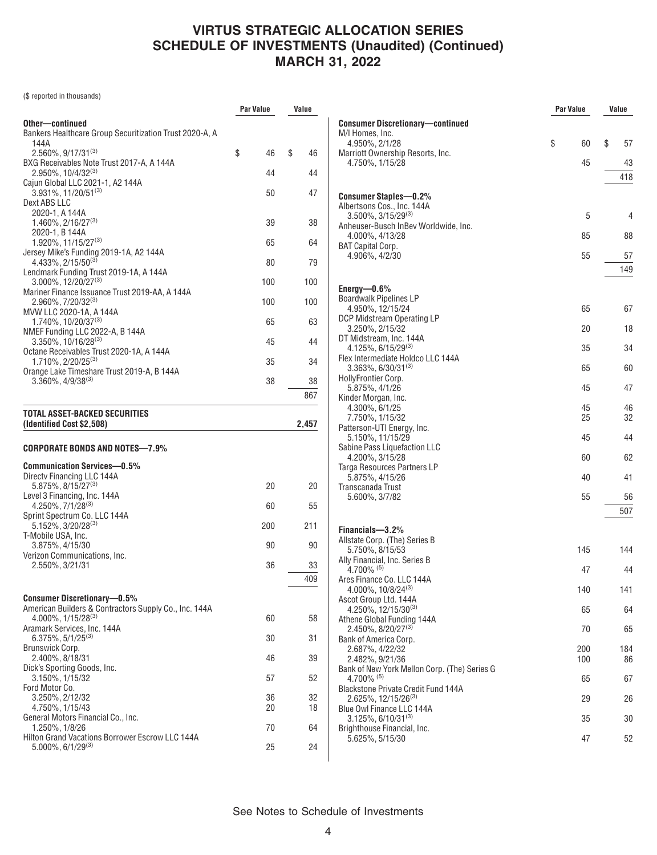(\$ reported in thousands)

|                                                                                 | Par Value | Value    |  |
|---------------------------------------------------------------------------------|-----------|----------|--|
| Other-continued                                                                 |           |          |  |
| Bankers Healthcare Group Securitization Trust 2020-A, A<br>144A                 |           |          |  |
| $2.560\%$ , 9/17/31 <sup>(3)</sup>                                              | \$<br>46  | \$<br>46 |  |
| BXG Receivables Note Trust 2017-A, A 144A<br>$2.950\%$ , 10/4/32 <sup>(3)</sup> | 44        | 44       |  |
| Cajun Global LLC 2021-1, A2 144A                                                |           |          |  |
| 3.931%, 11/20/51(3)<br>Dext ABS LLC                                             | 50        | 47       |  |
| 2020-1, A 144A                                                                  |           |          |  |
| $1.460\%$ , $2/16/27^{(3)}$                                                     | 39        | 38       |  |
| 2020-1, B 144A<br>1.920%, 11/15/27 <sup>(3)</sup>                               | 65        | 64       |  |
| Jersey Mike's Funding 2019-1A, A2 144A                                          |           |          |  |
| $4.433\%, 2/15/50^{(3)}$<br>Lendmark Funding Trust 2019-1A, A 144A              | 80        | 79       |  |
| 3.000%, 12/20/27(3)<br>Mariner Finance Issuance Trust 2019-AA, A 144A           | 100       | 100      |  |
| 2.960%, 7/20/32(3)                                                              | 100       | 100      |  |
| MVW LLC 2020-1A, A 144A                                                         |           |          |  |
| $1.740\%$ , 10/20/37 <sup>(3)</sup><br>NMEF Funding LLC 2022-A, B 144A          | 65        | 63       |  |
| $3.350\%$ , 10/16/28 <sup>(3)</sup>                                             | 45        | 44       |  |
| Octane Receivables Trust 2020-1A, A 144A<br>$1.710\%$ , $2/20/25^{(3)}$         | 35        | 34       |  |
| Orange Lake Timeshare Trust 2019-A, B 144A<br>$3.360\%$ , $4/9/38^{(3)}$        | 38        | 38       |  |
|                                                                                 |           | 867      |  |
|                                                                                 |           |          |  |
| TOTAL ASSET-BACKED SECURITIES<br>(Identified Cost \$2,508)                      |           | 2.457    |  |
| CORPORATE BONDS AND NOTES—7.9%                                                  |           |          |  |
| <b>Communication Services-0.5%</b>                                              |           |          |  |
| Directy Financing LLC 144A<br>5.875%, 8/15/27(3)                                | 20        | 20       |  |
| Level 3 Financing, Inc. 144A                                                    |           |          |  |
| $4.250\%, 7/1/28^{(3)}$<br>Sprint Spectrum Co. LLC 144A                         | 60        | 55       |  |
| $5.152\%$ , 3/20/28 <sup>(3)</sup>                                              | 200       | 211      |  |
| T-Mobile USA, Inc.<br>3.875%, 4/15/30                                           | 90        | 90       |  |
| Verizon Communications, Inc.                                                    |           |          |  |
| 2.550%, 3/21/31                                                                 | 36        | 33       |  |
|                                                                                 |           | 409      |  |
| <b>Consumer Discretionary-0.5%</b>                                              |           |          |  |
| American Builders & Contractors Supply Co., Inc. 144A                           |           |          |  |
| $4.000\%$ , $1/15/28^{(3)}$<br>Aramark Services, Inc. 144A                      | 60        | 58       |  |
| $6.375\%, 5/1/25^{(3)}$                                                         | 30        | 31       |  |
| Brunswick Corp.<br>2.400%, 8/18/31                                              | 46        | 39       |  |
| Dick's Sporting Goods, Inc.<br>3.150%, 1/15/32                                  | 57        | 52       |  |
| Ford Motor Co.<br>3.250%, 2/12/32                                               | 36        | 32       |  |
|                                                                                 |           |          |  |
| 4.750%, 1/15/43                                                                 | 20        | 18       |  |
| General Motors Financial Co., Inc.                                              |           |          |  |
| 1.250%, 1/8/26<br><b>Hilton Grand Vacations Borrower Escrow LLC 144A</b>        | 70        | 64       |  |

|                                                                          | Par Value |          | Value |          |
|--------------------------------------------------------------------------|-----------|----------|-------|----------|
| <b>Consumer Discretionary-continued</b>                                  |           |          |       |          |
| M/I Homes, Inc.<br>4.950%, 2/1/28                                        | \$        | 60       | \$    | 57       |
| Marriott Ownership Resorts, Inc.<br>4.750%, 1/15/28                      |           | 45       |       | 43       |
|                                                                          |           |          |       | 418      |
| Consumer Staples-0.2%                                                    |           |          |       |          |
| Albertsons Cos., Inc. 144A                                               |           |          |       |          |
| $3.500\%$ , $3/15/29^{(3)}$<br>Anheuser-Busch InBev Worldwide, Inc.      |           | 5        |       | 4        |
| 4.000%, 4/13/28                                                          |           | 85       |       | 88       |
| BAT Capital Corp.<br>4.906%, 4/2/30                                      |           | 55       |       | 57       |
|                                                                          |           |          |       | 149      |
| Energy- $0.6\%$                                                          |           |          |       |          |
| Boardwalk Pipelines LP<br>4.950%, 12/15/24                               |           | 65       |       | 67       |
| DCP Midstream Operating LP                                               |           |          |       |          |
| 3.250%, 2/15/32<br>DT Midstream, Inc. 144A                               |           | 20       |       | 18       |
| 4.125%, 6/15/29(3)                                                       |           | 35       |       | 34       |
| Flex Intermediate Holdco LLC 144A<br>$3.363\%$ , 6/30/31 <sup>(3)</sup>  |           | 65       |       | 60       |
| HollyFrontier Corp.<br>5.875%, 4/1/26                                    |           | 45       |       | 47       |
| Kinder Morgan, Inc.                                                      |           |          |       |          |
| 4.300%, 6/1/25<br>7.750%, 1/15/32                                        |           | 45<br>25 |       | 46<br>32 |
| Patterson-UTI Energy, Inc.<br>5.150%, 11/15/29                           |           | 45       |       | 44       |
| Sabine Pass Liquefaction LLC                                             |           |          |       |          |
| 4.200%, 3/15/28<br>Targa Resources Partners LP                           |           | 60       |       | 62       |
| 5.875%, 4/15/26                                                          |           | 40       |       | 41       |
| Transcanada Trust<br>5.600%, 3/7/82                                      |           | 55       |       | 56       |
|                                                                          |           |          |       | 507      |
| Financials-3.2%                                                          |           |          |       |          |
| Allstate Corp. (The) Series B<br>5.750%, 8/15/53                         |           | 145      |       | 144      |
| Ally Financial, Inc. Series B<br>4.700% $(5)$                            |           | 47       |       | 44       |
| Ares Finance Co. LLC 144A                                                |           |          |       |          |
| 4.000%, 10/8/24(3)<br>Ascot Group Ltd. 144A                              |           | 140      |       | 141      |
| $4.250\%$ , 12/15/30 <sup>(3)</sup>                                      |           | 65       |       | 64       |
| Athene Global Funding 144A<br>2.450%, 8/20/27 <sup>(3)</sup>             |           | 70       |       | 65       |
| Bank of America Corp.<br>2.687%, 4/22/32                                 |           | 200      |       | 184      |
| 2.482%, 9/21/36                                                          |           | 100      |       | 86       |
| Bank of New York Mellon Corp. (The) Series G<br>$4.700\%$ <sup>(5)</sup> |           | 65       |       | 67       |
| <b>Blackstone Private Credit Fund 144A</b><br>2.625%, 12/15/26(3)        |           | 29       |       | 26       |
| Blue Owl Finance LLC 144A                                                |           |          |       |          |
| $3.125\%, 6/10/31^{(3)}$<br>Brighthouse Financial, Inc.                  |           | 35       |       | 30       |
| 5.625%, 5/15/30                                                          |           | 47       |       | 52       |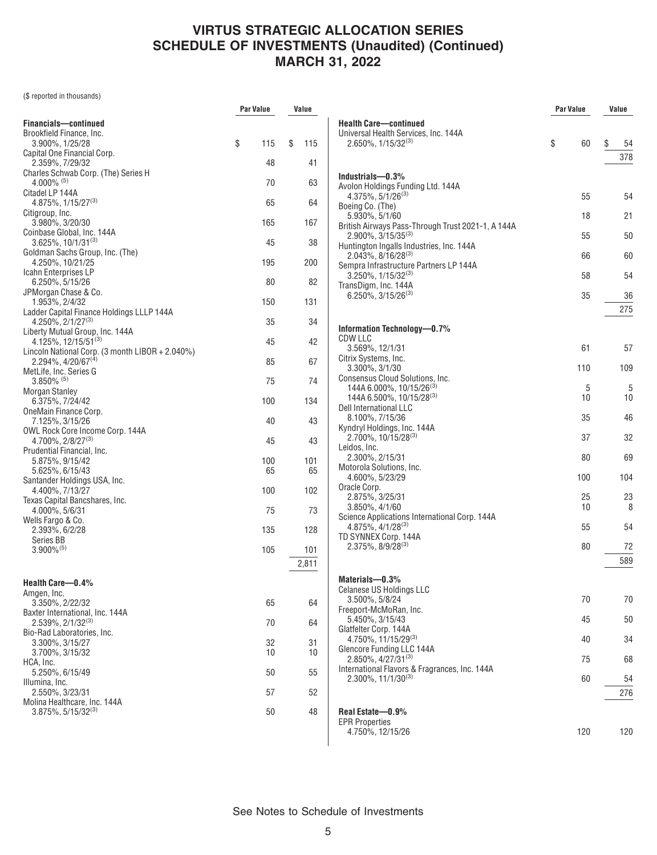(\$ reported in thousands)

|                                                                         | Par Value | Value        |
|-------------------------------------------------------------------------|-----------|--------------|
| Financials-continued                                                    |           |              |
| Brookfield Finance, Inc.<br>3.900%, 1/25/28                             | \$<br>115 | \$<br>115    |
| Capital One Financial Corp.<br>2.359%, 7/29/32                          | 48        | 41           |
| Charles Schwab Corp. (The) Series H<br>$4.000\%$ <sup>(5)</sup>         | 70        |              |
| Citadel LP 144A                                                         |           | 63           |
| $4.875\%$ , $1/15/27^{(3)}$                                             | 65        | 64           |
| Citigroup, Inc.<br>3.980%, 3/20/30                                      | 165       | 167          |
| Coinbase Global, Inc. 144A<br>$3.625\%$ , 10/1/31 <sup>(3)</sup>        | 45        | 38           |
| Goldman Sachs Group, Inc. (The)<br>4.250%, 10/21/25                     | 195       | 200          |
| Icahn Enterprises LP                                                    |           |              |
| 6.250%, 5/15/26<br>JPMorgan Chase & Co.                                 | 80        | 82           |
| 1.953%, 2/4/32                                                          | 150       | 131          |
| Ladder Capital Finance Holdings LLLP 144A<br>$4.250\%$ , $2/1/27^{(3)}$ | 35        | 34           |
| Liberty Mutual Group, Inc. 144A<br>$4.125\%, 12/15/51^{(3)}$            | 45        | 42           |
| Lincoln National Corp. (3 month LIBOR + 2.040%)                         |           |              |
| 2.294%, 4/20/67 <sup>(4)</sup><br>MetLife, Inc. Series G                | 85        | 67           |
| $3.850\%$ <sup>(5)</sup><br><b>Morgan Stanley</b>                       | 75        | 74           |
| 6.375%, 7/24/42<br>OneMain Finance Corp.                                | 100       | 134          |
| 7.125%, 3/15/26<br>OWL Rock Core Income Corp. 144A                      | 40        | 43           |
| $4.700\%$ , $2/8/27^{(3)}$                                              | 45        | 43           |
| Prudential Financial, Inc.<br>5.875%, 9/15/42                           | 100       | 101          |
| 5.625%, 6/15/43<br>Santander Holdings USA, Inc.                         | 65        | 65           |
| 4.400%, 7/13/27                                                         | 100       | 102          |
| Texas Capital Bancshares, Inc.<br>4.000%, 5/6/31                        | 75        | 73           |
| Wells Fargo & Co.<br>2.393%, 6/2/28                                     | 135       | 128          |
| Series BB                                                               |           |              |
| $3.900\%$ <sup>(5)</sup>                                                | 105       | 101<br>2,811 |
|                                                                         |           |              |
| Health Care-0.4%<br>Amgen, Inc.                                         |           |              |
| 3.350%, 2/22/32                                                         | 65        | 64           |
| Baxter International, Inc. 144A<br>$2.539\%, 2/1/32^{(3)}$              | 70        | 64           |
| Bio-Rad Laboratories, Inc.<br>3.300%, 3/15/27                           | 32        | 31           |
| 3.700%, 3/15/32<br>HCA, Inc.                                            | 10        | 10           |
| 5.250%, 6/15/49                                                         | 50        | 55           |
| Illumina, Inc.<br>2.550%, 3/23/31                                       | 57        | 52           |
| Molina Healthcare, Inc. 144A<br>$3.875\%$ , 5/15/32 <sup>(3)</sup>      | 50        | 48           |
|                                                                         |           |              |

|                                                                                | Par Value |          | Value     |
|--------------------------------------------------------------------------------|-----------|----------|-----------|
| <b>Health Care-continued</b>                                                   |           |          |           |
| Universal Health Services, Inc. 144A<br>$2.650\%$ , $1/15/32^{(3)}$            | \$        | 60       | \$<br>54  |
|                                                                                |           |          | 378       |
| Industrials-0.3%                                                               |           |          |           |
| Avolon Holdings Funding Ltd. 144A<br>$4.375\%$ , 5/1/26 <sup>(3)</sup>         |           | 55       | 54        |
| Boeing Co. (The)<br>5.930%, 5/1/60                                             |           | 18       | 21        |
| British Airways Pass-Through Trust 2021-1, A 144A<br>2.900%, 3/15/35(3)        |           | 55       | 50        |
| Huntington Ingalls Industries, Inc. 144A<br>$2.043\%$ , 8/16/28 <sup>(3)</sup> |           | 66       | 60        |
| Sempra Infrastructure Partners LP 144A<br>$3.250\%$ , 1/15/32 <sup>(3)</sup>   |           | 58       | 54        |
| TransDigm, Inc. 144A<br>$6.250\%$ , 3/15/26 <sup>(3)</sup>                     |           | 35       | 36        |
|                                                                                |           |          | 275       |
| Information Technology-0.7%                                                    |           |          |           |
| CDW LLC                                                                        |           |          |           |
| 3.569%, 12/1/31                                                                |           | 61       | 57        |
| Citrix Systems, Inc.<br>3.300%, 3/1/30                                         |           | 110      | 109       |
| Consensus Cloud Solutions, Inc.<br>144A 6.000%, 10/15/26 <sup>(3)</sup>        |           | 5        | 5         |
| 144A 6.500%, 10/15/28 <sup>(3)</sup>                                           |           | 10       | 10        |
| Dell International LLC<br>8.100%, 7/15/36                                      |           | 35       | 46        |
| Kyndryl Holdings, Inc. 144A<br>$2.700\%$ , 10/15/28 <sup>(3)</sup>             |           | 37       | 32        |
| Leidos, Inc.<br>2.300%, 2/15/31                                                |           | 80       | 69        |
| Motorola Solutions, Inc.<br>4.600%, 5/23/29                                    |           | 100      | 104       |
| Oracle Corp.                                                                   |           |          |           |
| 2.875%, 3/25/31<br>3.850%, 4/1/60                                              |           | 25<br>10 | 23<br>8   |
| Science Applications International Corp. 144A                                  |           |          |           |
| 4.875%, 4/1/28(3)<br>TD SYNNEX Corp. 144A                                      |           | 55       | 54        |
| $2.375\%$ , $8/9/28^{(3)}$                                                     |           | 80       | 72<br>589 |
|                                                                                |           |          |           |
| Materials-0.3%<br>Celanese US Holdings LLC                                     |           |          |           |
| 3.500%. 5/8/24<br>Freeport-McMoRan, Inc.                                       |           | 70       | 70        |
| 5.450%, 3/15/43<br>Glatfelter Corp. 144A                                       |           | 45       | 50        |
| 4.750%, 11/15/29 <sup>(3)</sup><br>Glencore Funding LLC 144A                   |           | 40       | 34        |
| 2.850%, 4/27/31(3)<br>International Flavors & Fragrances, Inc. 144A            |           | 75       | 68        |
| 2.300%, 11/1/30(3)                                                             |           | 60       | 54        |
|                                                                                |           |          | 276       |
| Real Estate-0.9%                                                               |           |          |           |
| <b>EPR Properties</b><br>4.750%, 12/15/26                                      |           | 120      | 120       |
|                                                                                |           |          |           |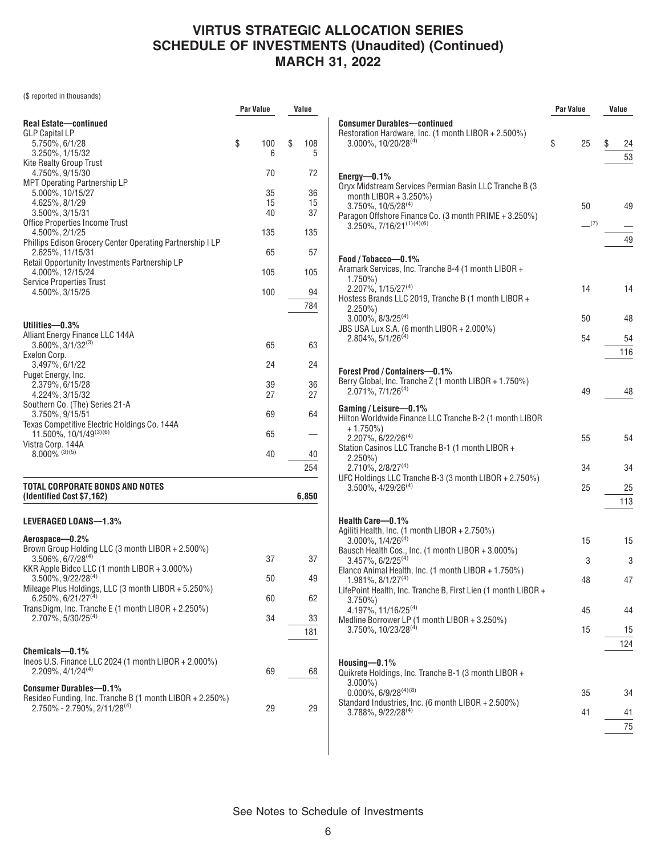(\$ reported in thousands)

|                                                                                          | Par Value      | Value          |
|------------------------------------------------------------------------------------------|----------------|----------------|
| Real Estate-continued                                                                    |                |                |
| GLP Capital LP                                                                           |                |                |
| 5.750%, 6/1/28<br>$3.250\%$ , $1/15/32$                                                  | \$<br>100<br>6 | \$<br>108<br>5 |
| Kite Realty Group Trust                                                                  |                |                |
| 4.750%, 9/15/30                                                                          | 70             | 72             |
| MPT Operating Partnership LP                                                             |                |                |
| 5.000%, 10/15/27                                                                         | 35             | 36             |
| 4.625%, 8/1/29<br>3.500%, 3/15/31                                                        | 15<br>40       | 15<br>37       |
| Office Properties Income Trust                                                           |                |                |
| 4.500%, 2/1/25                                                                           | 135            | 135            |
| Phillips Edison Grocery Center Operating Partnership I LP                                |                |                |
| 2.625%, 11/15/31<br>Retail Opportunity Investments Partnership LP                        | 65             | 57             |
| 4.000%, 12/15/24                                                                         | 105            | 105            |
| <b>Service Properties Trust</b>                                                          |                |                |
| 4.500%, 3/15/25                                                                          | 100            | 94             |
|                                                                                          |                | 784            |
|                                                                                          |                |                |
| Utilities—0.3%<br>Alliant Energy Finance LLC 144A                                        |                |                |
| $3.600\%$ , $3/1/32^{(3)}$                                                               | 65             | 63             |
| Exelon Corp.                                                                             |                |                |
| 3.497%, 6/1/22                                                                           | 24             | 24             |
| Puget Energy, Inc.                                                                       |                |                |
| 2.379%, 6/15/28<br>4.224%, 3/15/32                                                       | 39<br>27       | 36<br>27       |
| Southern Co. (The) Series 21-A                                                           |                |                |
| 3.750%, 9/15/51                                                                          | 69             | 64             |
| Texas Competitive Electric Holdings Co. 144A                                             |                |                |
| 11.500%, 10/1/49 <sup>(3)(6)</sup><br>Vistra Corp. 144A                                  | 65             |                |
| $8.000\%$ (3)(5)                                                                         | 40             | 40             |
|                                                                                          |                | 254            |
|                                                                                          |                |                |
| TOTAL CORPORATE BONDS AND NOTES                                                          |                |                |
| (Identified Cost \$7,162)                                                                |                | 6,850          |
|                                                                                          |                |                |
| LEVERAGED LOANS—1.3%                                                                     |                |                |
| Aerospace-0.2%                                                                           |                |                |
| Brown Group Holding LLC (3 month LIBOR + 2.500%)                                         |                |                |
| $3.506\%$ , 6/7/28 <sup>(4)</sup><br>KKR Apple Bidco LLC (1 month LIBOR + 3.000%)        | 37             | 37             |
| $3.500\%$ , $9/22/28^{(4)}$                                                              | 50             | 49             |
| Mileage Plus Holdings, LLC (3 month LIBOR + 5.250%)                                      |                |                |
| $6.250\%$ , 6/21/27 <sup>(4)</sup>                                                       | 60             | 62             |
| TransDigm, Inc. Tranche E (1 month LIBOR + 2.250%)<br>$2.707\%$ , 5/30/25 <sup>(4)</sup> | 34             | 33             |
|                                                                                          |                |                |
|                                                                                          |                | 181            |
| Chemicals-0.1%                                                                           |                |                |
| Ineos U.S. Finance LLC 2024 (1 month LIBOR + 2.000%)                                     |                |                |
| $2.209\%$ , 4/1/24 <sup>(4)</sup>                                                        | 69             | 68             |
| <b>Consumer Durables-0.1%</b>                                                            |                |                |
| Resideo Funding, Inc. Tranche B (1 month LIBOR + 2.250%)                                 |                |                |
| $2.750\%$ - 2.790%, 2/11/28 <sup>(4)</sup>                                               | 29             | 29             |
|                                                                                          |                |                |

|                                                                                                                                                                                                                                | Par Value |                 | Value |           |
|--------------------------------------------------------------------------------------------------------------------------------------------------------------------------------------------------------------------------------|-----------|-----------------|-------|-----------|
| <b>Consumer Durables-continued</b><br>Restoration Hardware, Inc. (1 month LIBOR + 2.500%)<br>$3.000\%$ , 10/20/28 <sup>(4)</sup>                                                                                               | \$        | 25              | \$    | 24<br>53  |
| $Energy—0.1\%$<br>Oryx Midstream Services Permian Basin LLC Tranche B (3<br>month $LIBOR + 3.250\%)$<br>$3.750\%$ , $10/5/28^{(4)}$<br>Paragon Offshore Finance Co. (3 month PRIME + 3.250%)<br>$3.250\%, 7/16/21^{(1)(4)(6)}$ |           | 50<br>$-^{(7)}$ |       | 49<br>49  |
| Food / Tobacco-0.1%<br>Aramark Services, Inc. Tranche B-4 (1 month LIBOR +<br>$1.750\%$                                                                                                                                        |           |                 |       |           |
| 2.207%, 1/15/27 <sup>(4)</sup><br>Hostess Brands LLC 2019, Tranche B (1 month LIBOR +<br>2.250%)                                                                                                                               |           | 14              |       | 14        |
| $3.000\%$ , $8/3/25^{(4)}$<br>JBS USA Lux S.A. (6 month LIBOR + 2.000%)                                                                                                                                                        |           | 50              |       | 48        |
| $2.804\%$ , 5/1/26 <sup>(4)</sup>                                                                                                                                                                                              |           | 54              |       | 54<br>116 |
| <b>Forest Prod / Containers-0.1%</b><br>Berry Global, Inc. Tranche Z (1 month LIBOR + 1.750%)<br>$2.071\%$ , $7/1/26^{(4)}$                                                                                                    |           | 49              |       | 48        |
| Gaming / Leisure-0.1%<br>Hilton Worldwide Finance LLC Tranche B-2 (1 month LIBOR<br>+ 1.750%)<br>$2.207\%$ , 6/22/26 <sup>(4)</sup><br>Station Casinos LLC Tranche B-1 (1 month LIBOR +                                        |           | 55              |       | 54        |
| 2.250%)<br>2.710%, 2/8/27 <sup>(4)</sup>                                                                                                                                                                                       |           | 34              |       | 34        |
| UFC Holdings LLC Tranche B-3 (3 month LIBOR + 2.750%)<br>$3.500\%$ , $4/29/26^{(4)}$                                                                                                                                           |           | 25              |       | 25<br>113 |
| Health Care-0.1%<br>Agiliti Health, Inc. (1 month LIBOR + 2.750%)<br>$3.000\%$ , $1/4/26^{(4)}$                                                                                                                                |           | 15              |       | 15        |
| Bausch Health Cos., Inc. (1 month LIBOR + 3.000%)<br>$3.457\%$ , 6/2/25 <sup>(4)</sup>                                                                                                                                         |           | 3               |       | 3         |
| Elanco Animal Health, Inc. (1 month LIBOR + 1.750%)<br>$1.981\%$ , $8/1/27^{(4)}$<br>LifePoint Health, Inc. Tranche B, First Lien (1 month LIBOR +                                                                             |           | 48              |       | 47        |
| 3.750%)<br>4.197%, 11/16/25 <sup>(4)</sup><br>Medline Borrower LP (1 month LIBOR + 3.250%)                                                                                                                                     |           | 45              |       | 44        |
| $3.750\%$ , 10/23/28 <sup>(4)</sup>                                                                                                                                                                                            |           | 15              |       | 15<br>124 |
| Housing— $0.1\%$<br>Quikrete Holdings, Inc. Tranche B-1 (3 month LIBOR +                                                                                                                                                       |           |                 |       |           |
| $3.000\%$ )<br>$0.000\%$ , 6/9/28 <sup>(4)(8)</sup>                                                                                                                                                                            |           | 35              |       | 34        |
| Standard Industries, Inc. (6 month LIBOR + 2.500%)<br>$3.788\%$ , $9/22/28^{(4)}$                                                                                                                                              |           | 41              |       | 41<br>75  |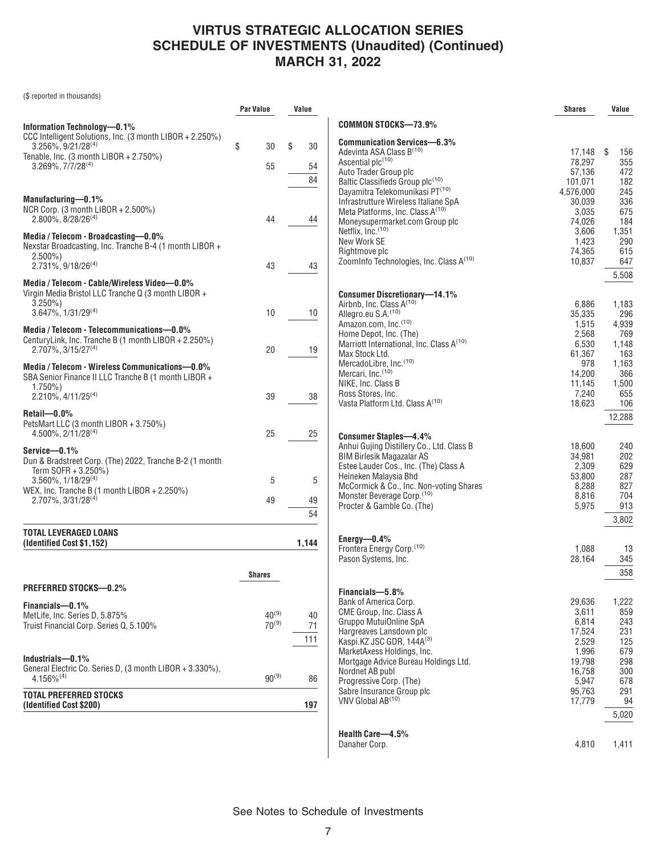(\$ reported in thousands)

|                                                                           | <b>Par Value</b>         | Value |          |                                                                                     | <b>Shares</b>       | Value        |
|---------------------------------------------------------------------------|--------------------------|-------|----------|-------------------------------------------------------------------------------------|---------------------|--------------|
| Information Technology-0.1%                                               |                          |       |          | <b>COMMON STOCKS-73.9%</b>                                                          |                     |              |
| CCC Intelligent Solutions, Inc. (3 month LIBOR + 2.250%)                  |                          |       |          | <b>Communication Services-6.3%</b>                                                  |                     |              |
| $3.256\%$ , $9/21/28^{(4)}$                                               | \$<br>30                 | \$    | 30       | Adevinta ASA Class B <sup>(10)</sup>                                                | 17,148              | \$<br>156    |
| Tenable, Inc. (3 month LIBOR + 2.750%)<br>$3.269\%, 7/7/28^{(4)}$         | 55                       |       | 54       | Ascential plc <sup>(10)</sup>                                                       | 78,297              | 355          |
|                                                                           |                          |       |          | Auto Trader Group plc                                                               | 57,136              | 472          |
|                                                                           |                          |       | 84       | Baltic Classifieds Group plc <sup>(10)</sup>                                        | 101,071             | 182          |
| Manufacturing-0.1%                                                        |                          |       |          | Dayamitra Telekomunikasi PT <sup>(10)</sup><br>Infrastrutture Wireless Italiane SpA | 4,576,000<br>30,039 | 245<br>336   |
| NCR Corp. (3 month LIBOR + 2.500%)                                        |                          |       |          | Meta Platforms, Inc. Class A <sup>(10)</sup>                                        | 3,035               | 675          |
| $2.800\%$ , $8/28/26^{(4)}$                                               | 44                       |       | 44       | Moneysupermarket.com Group plc                                                      | 74,026              | 184          |
| Media / Telecom - Broadcasting-0.0%                                       |                          |       |          | Netflix, Inc. (10)                                                                  | 3,606               | 1,351        |
| Nexstar Broadcasting, Inc. Tranche B-4 (1 month LIBOR +                   |                          |       |          | New Work SE                                                                         | 1,423               | 290          |
| $2.500\%$ )                                                               |                          |       |          | Rightmove plc<br>ZoomInfo Technologies, Inc. Class A <sup>(10)</sup>                | 74,365              | 615          |
| $2.731\%$ , $9/18/26^{(4)}$                                               | 43                       |       | 43       |                                                                                     | 10,837              | 647          |
| Media / Telecom - Cable/Wireless Video-0.0%                               |                          |       |          |                                                                                     |                     | 5,508        |
| Virgin Media Bristol LLC Tranche Q (3 month LIBOR +                       |                          |       |          | <b>Consumer Discretionary-14.1%</b>                                                 |                     |              |
| $3.250\%$ )                                                               |                          |       |          | Airbnb, Inc. Class A <sup>(10)</sup>                                                | 6,886               | 1,183        |
| $3.647\%$ , $1/31/29^{(4)}$                                               | 10                       |       | 10       | Allegro.eu S.A. <sup>(10)</sup>                                                     | 35,335              | 296          |
| Media / Telecom - Telecommunications-0.0%                                 |                          |       |          | Amazon.com, Inc.(10)                                                                | 1,515               | 4,939        |
| CenturyLink, Inc. Tranche B (1 month LIBOR + 2.250%)                      |                          |       |          | Home Depot, Inc. (The)<br>Marriott International, Inc. Class A(10)                  | 2,568<br>6,530      | 769<br>1,148 |
| $2.707\%$ , 3/15/27 <sup>(4)</sup>                                        | 20                       |       | 19       | Max Stock Ltd.                                                                      | 61,367              | 163          |
| Media / Telecom - Wireless Communications-0.0%                            |                          |       |          | MercadoLibre, Inc.(10)                                                              | 978                 | 1,163        |
| SBA Senior Finance II LLC Tranche B (1 month LIBOR +                      |                          |       |          | Mercari, Inc. <sup>(10)</sup>                                                       | 14,200              | 366          |
| $1.750\%$                                                                 |                          |       |          | NIKE, Inc. Class B                                                                  | 11,145              | 1,500        |
| $2.210\%$ , $4/11/25^{(4)}$                                               | 39                       |       | 38       | Ross Stores, Inc.<br>Vasta Platform Ltd. Class A <sup>(10)</sup>                    | 7,240               | 655          |
| Retail-0.0%                                                               |                          |       |          |                                                                                     | 18,623              | 106          |
| PetsMart LLC (3 month LIBOR + 3.750%)                                     |                          |       |          |                                                                                     |                     | 12,288       |
| $4.500\%$ , $2/11/28^{(4)}$                                               | 25                       |       | 25       | <b>Consumer Staples-4.4%</b>                                                        |                     |              |
| Service-0.1%                                                              |                          |       |          | Anhui Gujing Distillery Co., Ltd. Class B                                           | 18,600              | 240          |
| Dun & Bradstreet Corp. (The) 2022, Tranche B-2 (1 month                   |                          |       |          | <b>BIM Birlesik Magazalar AS</b>                                                    | 34,981              | 202          |
| Term SOFR + 3.250%)                                                       |                          |       |          | Estee Lauder Cos., Inc. (The) Class A                                               | 2,309<br>53,800     | 629<br>287   |
| $3.560\%$ , $1/18/29^{(4)}$                                               | 5                        |       | 5        | Heineken Malaysia Bhd<br>McCormick & Co., Inc. Non-voting Shares                    | 8,288               | 827          |
| WEX, Inc. Tranche B (1 month LIBOR + 2.250%)                              |                          |       |          | Monster Beverage Corp. (10)                                                         | 8,816               | 704          |
| 2.707%, 3/31/28 <sup>(4)</sup>                                            | 49                       |       | 49       | Procter & Gamble Co. (The)                                                          | 5,975               | 913          |
|                                                                           |                          |       | 54       |                                                                                     |                     | 3,802        |
| <b>TOTAL LEVERAGED LOANS</b>                                              |                          |       |          | Energy $-0.4%$                                                                      |                     |              |
| (Identified Cost \$1,152)                                                 |                          | 1,144 |          | Frontera Energy Corp. <sup>(10)</sup>                                               | 1,088               | 13           |
|                                                                           |                          |       |          | Pason Systems, Inc.                                                                 | 28,164              | 345          |
|                                                                           | <b>Shares</b>            |       |          |                                                                                     |                     | 358          |
| <b>PREFERRED STOCKS-0.2%</b>                                              |                          |       |          |                                                                                     |                     |              |
|                                                                           |                          |       |          | Financials-5.8%<br>Bank of America Corp.                                            | 29,636              | 1,222        |
| Financials-0.1%                                                           |                          |       |          | CME Group, Inc. Class A                                                             | 3,611               | 859          |
| MetLife, Inc. Series D, 5.875%<br>Truist Financial Corp. Series Q, 5.100% | $40^{(9)}$<br>$70^{(9)}$ |       | 40<br>71 | Gruppo MutuiOnline SpA                                                              | 6,814               | 243          |
|                                                                           |                          |       |          | Hargreaves Lansdown plc                                                             | 17,524              | 231          |
|                                                                           |                          |       | 111      | Kaspi.KZ JSC GDR, 144A(3)                                                           | 2,529               | 125          |
| Industrials-0.1%                                                          |                          |       |          | MarketAxess Holdings, Inc.                                                          | 1,996               | 679          |
| General Electric Co. Series D. (3 month LIBOR + 3.330%).                  |                          |       |          | Mortgage Advice Bureau Holdings Ltd.<br>Nordnet AB publ                             | 19,798<br>16.758    | 298<br>300   |
| $4.156\%^{(4)}$                                                           | $90^{(9)}$               |       | 86       | Progressive Corp. (The)                                                             | 5,947               | 678          |
| <b>TOTAL PREFERRED STOCKS</b>                                             |                          |       |          | Sabre Insurance Group plc                                                           | 95,763              | 291          |
| (Identified Cost \$200)                                                   |                          |       | 197      | VNV Global AB <sup>(10)</sup>                                                       | 17,779              | 94           |
|                                                                           |                          |       |          |                                                                                     |                     | 5,020        |
|                                                                           |                          |       |          |                                                                                     |                     |              |
|                                                                           |                          |       |          | Health Care-4.5%<br>Danaher Corp.                                                   | 4,810               | 1,411        |
|                                                                           |                          |       |          |                                                                                     |                     |              |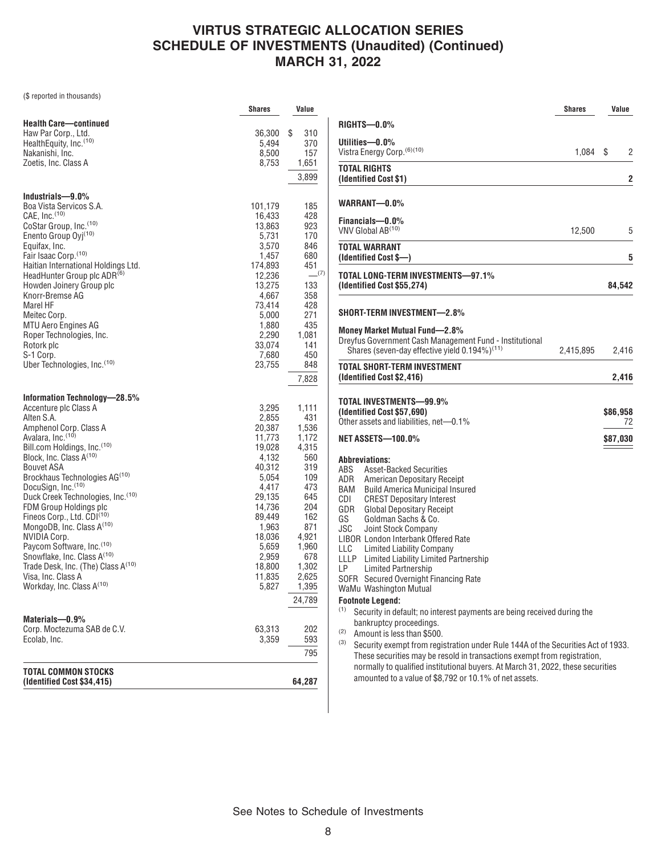(\$ reported in thousands)

|                                                    | <b>Shares</b>   | Value          |
|----------------------------------------------------|-----------------|----------------|
| <b>Health Care-continued</b>                       |                 |                |
| Haw Par Corp., Ltd.                                | 36,300          | \$<br>310      |
| HealthEquity, Inc. <sup>(10)</sup>                 | 5,494           | 370            |
| Nakanishi, Inc.                                    | 8,500           | 157            |
| Zoetis, Inc. Class A                               | 8,753           | 1,651          |
|                                                    |                 | 3,899          |
| Industrials-9.0%                                   |                 |                |
| Boa Vista Servicos S.A.                            | 101,179         | 185            |
| CAE. Inc. $(10)$                                   | 16,433          | 428            |
| CoStar Group, Inc. <sup>(10)</sup>                 | 13,863          | 923            |
| Enento Group Oyj <sup>(10)</sup>                   | 5,731           | 170            |
| Equifax, Inc.<br>Fair Isaac Corp. (10)             | 3,570<br>1,457  | 846<br>680     |
| Haitian International Holdings Ltd.                | 174,893         | 451            |
| HeadHunter Group plc ADR <sup>(6)</sup>            | 12,236          | $-^{(7)}$      |
| Howden Joinery Group plc                           | 13,275          | 133            |
| Knorr-Bremse AG                                    | 4,667           | 358            |
| Marel HF                                           | 73,414          | 428            |
| Meitec Corp.                                       | 5,000           | 271            |
| <b>MTU Aero Engines AG</b>                         | 1,880           | 435            |
| Roper Technologies, Inc.                           | 2,290           | 1,081          |
| Rotork plc                                         | 33,074          | 141            |
| S-1 Corp.                                          | 7,680           | 450            |
| Uber Technologies, Inc. (10)                       | 23,755          | 848            |
|                                                    |                 | 7,828          |
| Information Technology-28.5%                       |                 |                |
| Accenture plc Class A                              | 3,295           | 1,111          |
| Alten S.A.                                         | 2,855           | 431            |
| Amphenol Corp. Class A                             | 20,387          | 1,536          |
| Avalara, Inc. (10)<br>Bill.com Holdings, Inc. (10) | 11,773          | 1,172<br>4,315 |
| Block, Inc. Class A <sup>(10)</sup>                | 19,028<br>4,132 | 560            |
| <b>Bouvet ASA</b>                                  | 40,312          | 319            |
| Brockhaus Technologies AG <sup>(10)</sup>          | 5,054           | 109            |
| DocuSign, Inc.(10)                                 | 4,417           | 473            |
| Duck Creek Technologies, Inc.(10)                  | 29,135          | 645            |
| FDM Group Holdings plc                             | 14,736          | 204            |
| Fineos Corp., Ltd. CDI <sup>(10)</sup>             | 89,449          | 162            |
| MongoDB, Inc. Class A <sup>(10)</sup>              | 1,963           | 871            |
| NVIDIA Corp.                                       | 18,036          | 4.921          |
| Paycom Software, Inc. (10)                         | 5,659           | 1,960          |
| Snowflake, Inc. Class A <sup>(10)</sup>            | 2,959           | 678            |
| Trade Desk, Inc. (The) Class A(10)                 | 18,800          | 1,302          |
| Visa, Inc. Class A<br>Workday, Inc. Class A(10)    | 11,835<br>5,827 | 2,625<br>1,395 |
|                                                    |                 | 24,789         |
|                                                    |                 |                |
| Materials-0.9%                                     |                 |                |
| Corp. Moctezuma SAB de C.V.<br>Ecolab, Inc.        | 63,313<br>3,359 | 202<br>593     |
|                                                    |                 | 795            |
| TOTAL COMMON STOCKS                                |                 |                |
| (Identified Cost \$34,415)                         |                 | 64,287         |

|                                                                                                                                                                                                                                                                                                                                                                                                                                                                                                                                    | <b>Shares</b> | Value          |
|------------------------------------------------------------------------------------------------------------------------------------------------------------------------------------------------------------------------------------------------------------------------------------------------------------------------------------------------------------------------------------------------------------------------------------------------------------------------------------------------------------------------------------|---------------|----------------|
| RIGHTS-0.0%                                                                                                                                                                                                                                                                                                                                                                                                                                                                                                                        |               |                |
| Utilities-0.0%<br>Vistra Energy Corp. (6)(10)                                                                                                                                                                                                                                                                                                                                                                                                                                                                                      | 1,084         | \$<br>2        |
| <b>TOTAL RIGHTS</b><br>(Identified Cost \$1)                                                                                                                                                                                                                                                                                                                                                                                                                                                                                       |               | 2              |
| WARRANT—0.0%                                                                                                                                                                                                                                                                                                                                                                                                                                                                                                                       |               |                |
| Financials-0.0%<br>VNV Global AB <sup>(10)</sup>                                                                                                                                                                                                                                                                                                                                                                                                                                                                                   | 12,500        | 5              |
| TOTAL WARRANT<br>(Identified Cost \$—)                                                                                                                                                                                                                                                                                                                                                                                                                                                                                             |               | 5              |
| TOTAL LONG-TERM INVESTMENTS-97.1%<br>(Identified Cost \$55,274)                                                                                                                                                                                                                                                                                                                                                                                                                                                                    |               | 84,542         |
| SHORT-TERM INVESTMENT—2.8%                                                                                                                                                                                                                                                                                                                                                                                                                                                                                                         |               |                |
| Money Market Mutual Fund—2.8%<br>Dreyfus Government Cash Management Fund - Institutional<br>Shares (seven-day effective yield 0.194%) <sup>(11)</sup>                                                                                                                                                                                                                                                                                                                                                                              | 2,415,895     | 2,416          |
| <b>TOTAL SHORT-TERM INVESTMENT</b><br>(Identified Cost \$2,416)                                                                                                                                                                                                                                                                                                                                                                                                                                                                    |               | 2,416          |
| TOTAL INVESTMENTS—99.9%<br>(Identified Cost \$57,690)<br>Other assets and liabilities, net-0.1%                                                                                                                                                                                                                                                                                                                                                                                                                                    |               | \$86,958<br>72 |
| <b>NET ASSETS-100.0%</b>                                                                                                                                                                                                                                                                                                                                                                                                                                                                                                           |               | \$87,030       |
| <b>Abbreviations:</b><br><b>Asset-Backed Securities</b><br>ABS<br>ADR<br>American Depositary Receipt<br><b>BAM</b> Build America Municipal Insured<br>CDI<br><b>CREST Depositary Interest</b><br><b>Global Depositary Receipt</b><br>GDR<br>Goldman Sachs & Co.<br>GS<br>JSC<br>Joint Stock Company<br>LIBOR London Interbank Offered Rate<br>LLC Limited Liability Company<br>LLLP Limited Liability Limited Partnership<br>LP —<br><b>Limited Partnership</b><br>SOFR Secured Overnight Financing Rate<br>WaMu Washington Mutual |               |                |
| <b>Footnote Legend:</b><br>(1)<br>Security in default; no interest payments are being received during the                                                                                                                                                                                                                                                                                                                                                                                                                          |               |                |
| bankruptcy proceedings.<br>(2)<br>Amount is less than \$500.<br>(3)<br>Security exempt from registration under Rule 144A of the Securities Act of 1933.<br>These securities may be resold in transactions exempt from registration,<br>normally to qualified institutional buvers. At March 31, 2022, these securities                                                                                                                                                                                                             |               |                |

amounted to a value of \$8,792 or 10.1% of net assets.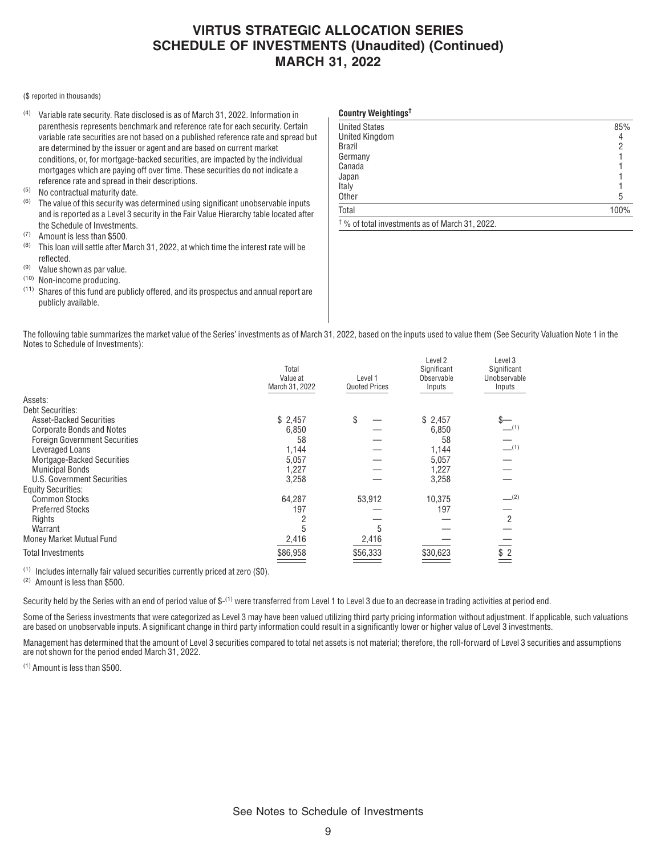**Country Weightings†**

#### (\$ reported in thousands)

- (4) Variable rate security. Rate disclosed is as of March 31, 2022. Information in parenthesis represents benchmark and reference rate for each security. Certain variable rate securities are not based on a published reference rate and spread but are determined by the issuer or agent and are based on current market conditions, or, for mortgage-backed securities, are impacted by the individual mortgages which are paying off over time. These securities do not indicate a reference rate and spread in their descriptions.
- $(5)$  No contractual maturity date.
- The value of this security was determined using significant unobservable inputs and is reported as a Level 3 security in the Fair Value Hierarchy table located after the Schedule of Investments.
- $(7)$  Amount is less than \$500.
- This loan will settle after March 31, 2022, at which time the interest rate will be reflected.
- (9) Value shown as par value.
- (10) Non-income producing.
- (11) Shares of this fund are publicly offered, and its prospectus and annual report are publicly available.

| <b>United States</b>                                      | 85%  |
|-----------------------------------------------------------|------|
| <b>United Kingdom</b>                                     | 4    |
| <b>Brazil</b>                                             | ŋ    |
| Germany                                                   |      |
| Canada                                                    |      |
| Japan                                                     |      |
| Italy                                                     |      |
| Other                                                     | 5    |
| Total                                                     | 100% |
| <sup>†</sup> % of total investments as of March 31, 2022. |      |

The following table summarizes the market value of the Series' investments as of March 31, 2022, based on the inputs used to value them (See Security Valuation Note 1 in the Notes to Schedule of Investments):

|                                      | Total<br>Value at<br>March 31, 2022 | Level 1<br><b>Quoted Prices</b> | Level 2<br>Significant<br>Observable<br>Inputs | Level 3<br>Significant<br>Unobservable<br>Inputs |
|--------------------------------------|-------------------------------------|---------------------------------|------------------------------------------------|--------------------------------------------------|
| Assets:                              |                                     |                                 |                                                |                                                  |
| <b>Debt Securities:</b>              |                                     |                                 |                                                |                                                  |
| <b>Asset-Backed Securities</b>       | \$2,457                             | \$                              | \$2,457                                        |                                                  |
| <b>Corporate Bonds and Notes</b>     | 6,850                               |                                 | 6,850                                          | (1)                                              |
| <b>Foreign Government Securities</b> | 58                                  |                                 | 58                                             |                                                  |
| Leveraged Loans                      | 1,144                               |                                 | 1,144                                          | (1)                                              |
| Mortgage-Backed Securities           | 5,057                               |                                 | 5,057                                          |                                                  |
| <b>Municipal Bonds</b>               | 1,227                               |                                 | 1,227                                          |                                                  |
| U.S. Government Securities           | 3,258                               |                                 | 3,258                                          |                                                  |
| <b>Equity Securities:</b>            |                                     |                                 |                                                |                                                  |
| <b>Common Stocks</b>                 | 64,287                              | 53,912                          | 10,375                                         | $-^{(2)}$                                        |
| <b>Preferred Stocks</b>              | 197                                 |                                 | 197                                            |                                                  |
| Rights                               |                                     |                                 |                                                | 2                                                |
| Warrant                              |                                     | 5                               |                                                |                                                  |
| Money Market Mutual Fund             | 2,416                               | 2,416                           |                                                |                                                  |
| <b>Total Investments</b>             | \$86,958                            | \$56,333                        | \$30,623                                       | \$2                                              |
|                                      |                                     |                                 |                                                |                                                  |

(1) Includes internally fair valued securities currently priced at zero (\$0).

(2) Amount is less than \$500.

Security held by the Series with an end of period value of  $$-(1)$  were transferred from Level 1 to Level 3 due to an decrease in trading activities at period end.

Some of the Seriess investments that were categorized as Level 3 may have been valued utilizing third party pricing information without adjustment. If applicable, such valuations are based on unobservable inputs. A significant change in third party information could result in a significantly lower or higher value of Level 3 investments.

Management has determined that the amount of Level 3 securities compared to total net assets is not material; therefore, the roll-forward of Level 3 securities and assumptions are not shown for the period ended March 31, 2022.

(1) Amount is less than \$500.